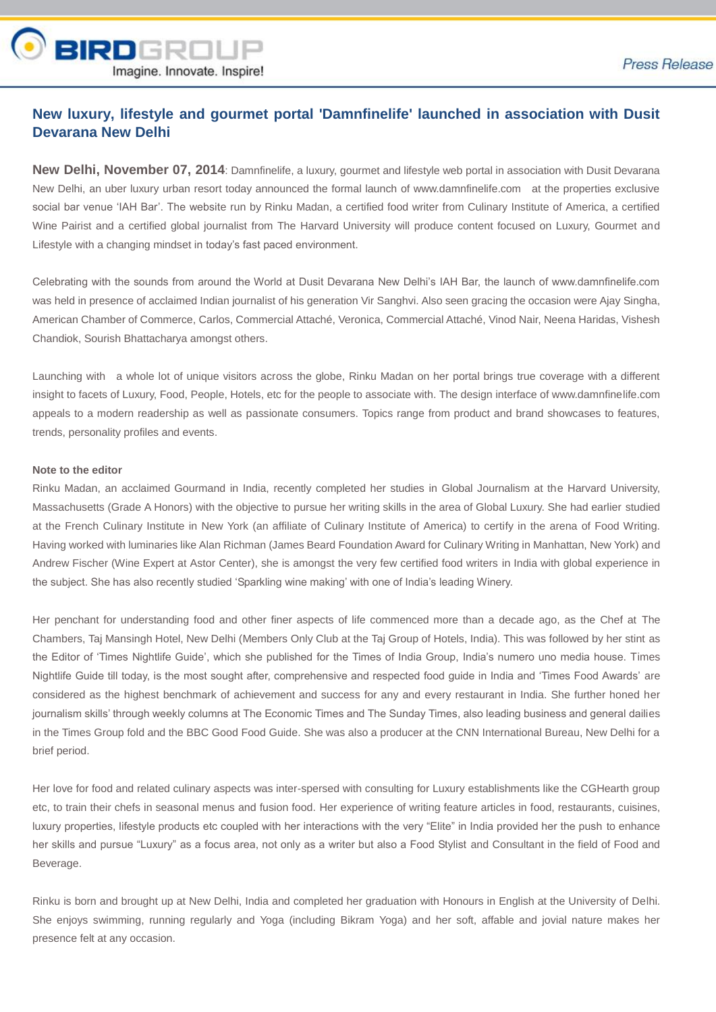

## **New luxury, lifestyle and gourmet portal 'Damnfinelife' launched in association with Dusit Devarana New Delhi**

New Delhi, November 07, 2014: Damnfinelife, a luxury, gourmet and lifestyle web portal in association with Dusit Devarana New Delhi, an uber luxury urban resort today announced the formal launch of www.damnfinelife.com at the properties exclusive social bar venue 'IAH Bar'. The website run by Rinku Madan, a certified food writer from Culinary Institute of America, a certified Wine Pairist and a certified global journalist from The Harvard University will produce content focused on Luxury, Gourmet and Lifestyle with a changing mindset in today's fast paced environment.

Celebrating with the sounds from around the World at Dusit Devarana New Delhi's IAH Bar, the launch of www.damnfinelife.com was held in presence of acclaimed Indian journalist of his generation Vir Sanghvi. Also seen gracing the occasion were Ajay Singha, American Chamber of Commerce, Carlos, Commercial Attaché, Veronica, Commercial Attaché, Vinod Nair, Neena Haridas, Vishesh Chandiok, Sourish Bhattacharya amongst others.

Launching with a whole lot of unique visitors across the globe, Rinku Madan on her portal brings true coverage with a different insight to facets of Luxury, Food, People, Hotels, etc for the people to associate with. The design interface of www.damnfinelife.com appeals to a modern readership as well as passionate consumers. Topics range from product and brand showcases to features, trends, personality profiles and events.

## **Note to the editor**

Rinku Madan, an acclaimed Gourmand in India, recently completed her studies in Global Journalism at the Harvard University, Massachusetts (Grade A Honors) with the objective to pursue her writing skills in the area of Global Luxury. She had earlier studied at the French Culinary Institute in New York (an affiliate of Culinary Institute of America) to certify in the arena of Food Writing. Having worked with luminaries like Alan Richman (James Beard Foundation Award for Culinary Writing in Manhattan, New York) and Andrew Fischer (Wine Expert at Astor Center), she is amongst the very few certified food writers in India with global experience in the subject. She has also recently studied 'Sparkling wine making' with one of India's leading Winery.

Her penchant for understanding food and other finer aspects of life commenced more than a decade ago, as the Chef at The Chambers, Taj Mansingh Hotel, New Delhi (Members Only Club at the Taj Group of Hotels, India). This was followed by her stint as the Editor of 'Times Nightlife Guide', which she published for the Times of India Group, India's numero uno media house. Times Nightlife Guide till today, is the most sought after, comprehensive and respected food guide in India and 'Times Food Awards' are considered as the highest benchmark of achievement and success for any and every restaurant in India. She further honed her journalism skills' through weekly columns at The Economic Times and The Sunday Times, also leading business and general dailies in the Times Group fold and the BBC Good Food Guide. She was also a producer at the CNN International Bureau, New Delhi for a brief period.

Her love for food and related culinary aspects was inter-spersed with consulting for Luxury establishments like the CGHearth group etc, to train their chefs in seasonal menus and fusion food. Her experience of writing feature articles in food, restaurants, cuisines, luxury properties, lifestyle products etc coupled with her interactions with the very "Elite" in India provided her the push to enhance her skills and pursue "Luxury" as a focus area, not only as a writer but also a Food Stylist and Consultant in the field of Food and Beverage.

Rinku is born and brought up at New Delhi, India and completed her graduation with Honours in English at the University of Delhi. She enjoys swimming, running regularly and Yoga (including Bikram Yoga) and her soft, affable and jovial nature makes her presence felt at any occasion.